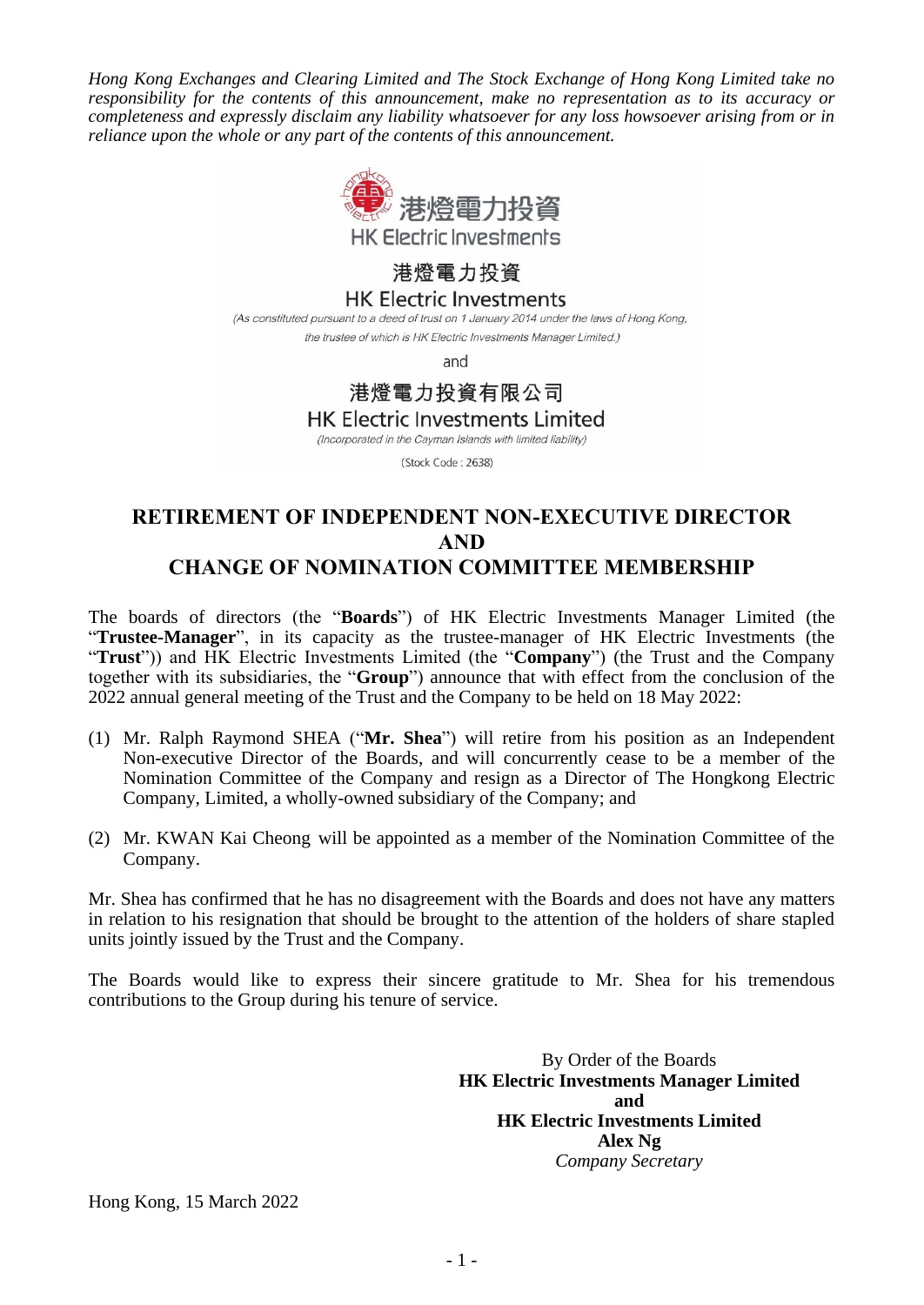*Hong Kong Exchanges and Clearing Limited and The Stock Exchange of Hong Kong Limited take no responsibility for the contents of this announcement, make no representation as to its accuracy or completeness and expressly disclaim any liability whatsoever for any loss howsoever arising from or in reliance upon the whole or any part of the contents of this announcement.*



## 港燈電力投資

**HK Electric Investments** 

(As constituted pursuant to a deed of trust on 1 January 2014 under the laws of Hong Kong, the trustee of which is HK Electric Investments Manager Limited.)

and

## 港燈電力投資有限公司 **HK Electric Investments Limited** (Incorporated in the Cayman Islands with limited liability)

(Stock Code: 2638)

## **RETIREMENT OF INDEPENDENT NON-EXECUTIVE DIRECTOR AND CHANGE OF NOMINATION COMMITTEE MEMBERSHIP**

The boards of directors (the "**Boards**") of HK Electric Investments Manager Limited (the "**Trustee-Manager**", in its capacity as the trustee-manager of HK Electric Investments (the "**Trust**")) and HK Electric Investments Limited (the "**Company**") (the Trust and the Company together with its subsidiaries, the "**Group**") announce that with effect from the conclusion of the 2022 annual general meeting of the Trust and the Company to be held on 18 May 2022:

- (1) Mr. Ralph Raymond SHEA ("**Mr. Shea**") will retire from his position as an Independent Non-executive Director of the Boards, and will concurrently cease to be a member of the Nomination Committee of the Company and resign as a Director of The Hongkong Electric Company, Limited, a wholly-owned subsidiary of the Company; and
- (2) Mr. KWAN Kai Cheong will be appointed as a member of the Nomination Committee of the Company.

Mr. Shea has confirmed that he has no disagreement with the Boards and does not have any matters in relation to his resignation that should be brought to the attention of the holders of share stapled units jointly issued by the Trust and the Company.

The Boards would like to express their sincere gratitude to Mr. Shea for his tremendous contributions to the Group during his tenure of service.

> By Order of the Boards **HK Electric Investments Manager Limited and HK Electric Investments Limited Alex Ng** *Company Secretary*

Hong Kong, 15 March 2022